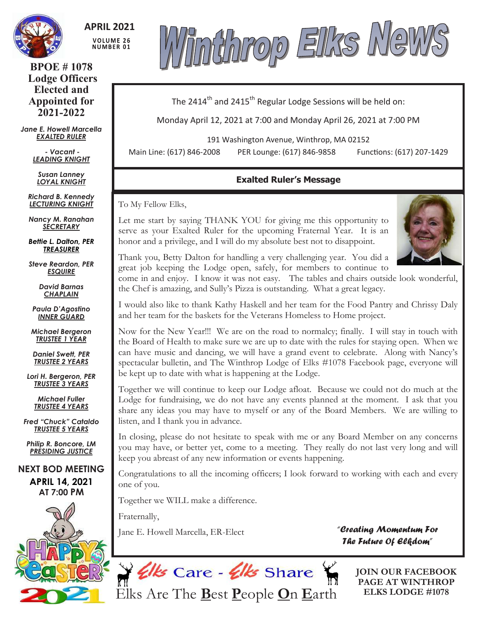

**APRIL 2021 VOLUME 26 NUMBER 01** 

**BPOE # 1078 Lodge Officers Elected and Appointed for 2021-2022**

*Jane E. Howell Marcella EXALTED RULER*

> *- Vacant - LEADING KNIGHT*

*Susan Lanney LOYAL KNIGHT*

*Richard B. Kennedy LECTURING KNIGHT*

*Nancy M. Ranahan SECRETARY*

*Bettie L. Dalton, PER TREASURER*

*Steve Reardon, PER ESQUIRE*

> *David Barnas CHAPLAIN*

*Paula D'Agostino INNER GUARD*

*Michael Bergeron TRUSTEE 1 YEAR*

*Daniel Swett, PER TRUSTEE 2 YEARS*

*Lori H. Bergeron, PER TRUSTEE 3 YEARS*

> *Michael Fuller TRUSTEE 4 YEARS*

*Fred "Chuck" Cataldo TRUSTEE 5 YEARS*

*Philip R. Boncore, LM PRESIDING JUSTICE*

**NEXT BOD MEETING APRIL 14, 2021 AT 7:00 PM**





The 2414<sup>th</sup> and 2415<sup>th</sup> Regular Lodge Sessions will be held on:

Monday April 12, 2021 at 7:00 and Monday April 26, 2021 at 7:00 PM

191 Washington Avenue, Winthrop, MA 02152

Main Line: (617) 846-2008 PER Lounge: (617) 846-9858 Functions: (617) 207-1429

## **Exalted Ruler's Message**

To My Fellow Elks,

Let me start by saying THANK YOU for giving me this opportunity to serve as your Exalted Ruler for the upcoming Fraternal Year. It is an honor and a privilege, and I will do my absolute best not to disappoint.



Thank you, Betty Dalton for handling a very challenging year. You did a great job keeping the Lodge open, safely, for members to continue to

come in and enjoy. I know it was not easy. The tables and chairs outside look wonderful, the Chef is amazing, and Sully's Pizza is outstanding. What a great legacy.

I would also like to thank Kathy Haskell and her team for the Food Pantry and Chrissy Daly and her team for the baskets for the Veterans Homeless to Home project.

Now for the New Year!!! We are on the road to normalcy; finally. I will stay in touch with the Board of Health to make sure we are up to date with the rules for staying open. When we can have music and dancing, we will have a grand event to celebrate. Along with Nancy's spectacular bulletin, and The Winthrop Lodge of Elks #1078 Facebook page, everyone will be kept up to date with what is happening at the Lodge.

Together we will continue to keep our Lodge afloat. Because we could not do much at the Lodge for fundraising, we do not have any events planned at the moment. I ask that you share any ideas you may have to myself or any of the Board Members. We are willing to listen, and I thank you in advance.

In closing, please do not hesitate to speak with me or any Board Member on any concerns you may have, or better yet, come to a meeting. They really do not last very long and will keep you abreast of any new information or events happening.

Congratulations to all the incoming officers; I look forward to working with each and every one of you.

Together we WILL make a difference.

Fraternally,

Jane E. Howell Marcella, ER-Elect

*"Creating Momentum For The Future Of Elkdom"* 



**JOIN OUR FACEBOOK PAGE AT WINTHROP ELKS LODGE #1078**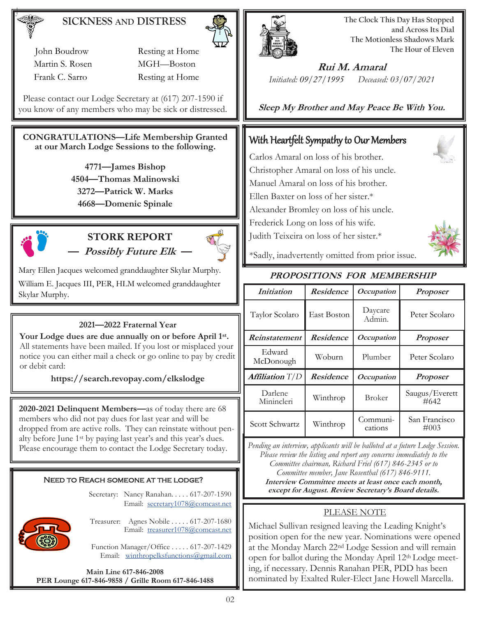## **SICKNESS AND DISTRESS**

 John Boudrow Resting at Home Martin S. Rosen MGH-Boston Frank C. Sarro Resting at Home

Please contact our Lodge Secretary at (617) 207-1590 if you know of any members who may be sick or distressed.

#### **CONGRATULATIONS—Life Membership Granted at our March Lodge Sessions to the following.**

**—James Bishop —Thomas Malinowski —Patrick W. Marks —Domenic Spinale** 



## **STORK REPORT — Possibly Future Elk —**



Mary Ellen Jacques welcomed granddaughter Skylar Murphy. William E. Jacques III, PER, HLM welcomed granddaughter Skylar Murphy.

#### **2021—2022 Fraternal Year**

**Your Lodge dues are due annually on or before April 1st .** All statements have been mailed. If you lost or misplaced your notice you can either mail a check or go online to pay by credit or debit card:

**https://search.revopay.com/elkslodge**

**2020-2021 Delinquent Members—**as of today there are 68 members who did not pay dues for last year and will be dropped from are active rolls. They can reinstate without penalty before June 1st by paying last year's and this year's dues. Please encourage them to contact the Lodge Secretary today.

#### Need to Reach someone at the lodge?

Secretary: Nancy Ranahan. . . . . 617-207-1590 Email: [secretary1078@comcast.net](mailto:SECRETARY1078@COMCAST.NET) 



Treasurer: Agnes Nobile . . . . . 617-207-1680 Email: treasure[r1078@comcast.net](mailto:SECRETARY1078@COMCAST.NET)

Function Manager/Office . . . . . 617-207-1429 Email: [winthropelksfunctions@gmail.com](mailto:winthropelksfunctions@gmail.com)

**Main Line 617-846-2008 PER Lounge 617-846-9858 / Grille Room 617-846-1488**



**The Clock This Day Has Stopped and Across Its Dial The Motionless Shadows Mark The Hour of Eleven**

**Rui M. Amaral** *Initiated: 09/27/1995 Deceased: 03/07/2021*

**Sleep My Brother and May Peace Be With You.**

## With Heartfelt Sympathy to Our Members

Carlos Amaral on loss of his brother. Christopher Amaral on loss of his uncle. Manuel Amaral on loss of his brother. Ellen Baxter on loss of her sister.\* Alexander Bromley on loss of his uncle. Frederick Long on loss of his wife. Judith Teixeira on loss of her sister.\*



\*Sadly, inadvertently omitted from prior issue.

#### **PROPOSITIONS FOR MEMBERSHIP**

| <i>Initiation</i>      | <b>Residence</b> | <i>Occupation</i>   | <b>Proposer</b>          |
|------------------------|------------------|---------------------|--------------------------|
| Taylor Scolaro         | East Boston      | Daycare<br>Admin.   | Peter Scolaro            |
| Reinstatement          | <b>Residence</b> | Occupation          | <b>Proposer</b>          |
| Edward<br>McDonough    | Woburn           | Plumber             | Peter Scolaro            |
| <b>Affiliation</b> T/D | <b>Residence</b> | <i>Occupation</i>   | <b>Proposer</b>          |
| Darlene<br>Minincleri  | Winthrop         | <b>Broker</b>       | Saugus/Everett<br>#642   |
| Scott Schwartz         | Winthrop         | Communi-<br>cations | San Francisco<br>$\#003$ |

*Pending an interview, applicants will be balloted at a future Lodge Session. Please review the listing and report any concerns immediately to the Committee chairman, Richard Friel (617) 846-2345 or to Committee member, Jane Rosenthal (617) 846-9111.* **Interview Committee meets at least once each month, except for August. Review Secretary's Board details.**

#### PLEASE NOTE

Michael Sullivan resigned leaving the Leading Knight's position open for the new year. Nominations were opened at the Monday March 22nd Lodge Session and will remain open for ballot during the Monday April 12th Lodge meeting, if necessary. Dennis Ranahan PER, PDD has been nominated by Exalted Ruler-Elect Jane Howell Marcella.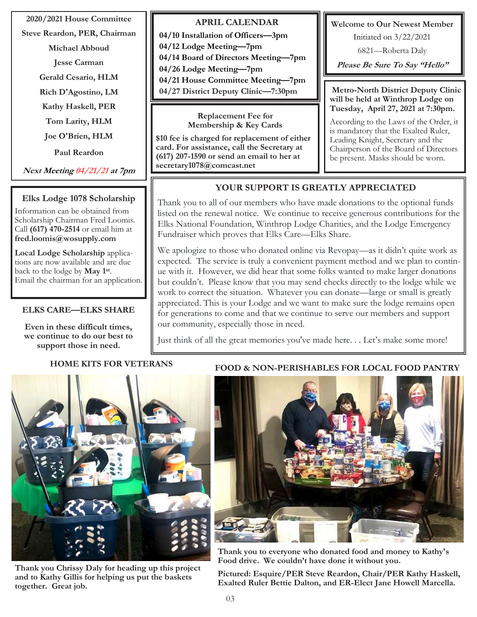#### **2020/2021 House Committee**

**Steve Reardon, PER, Chairman**

- **Michael Abboud**
- **Jesse Carman**

**Gerald Cesario, HLM**

**Rich D'Agostino, LM**

**Kathy Haskell, PER**

**Tom Larity, HLM**

**Joe O'Brien, HLM**

**Paul Reardon**

**Next Meeting 04/21/21 at 7pm**

### **Elks Lodge 1078 Scholarship**

Information can be obtained from Scholarship Chairman Fred Loomis. Call **(617) 470-2514** or email him at **fred.loomis@wosupply.com**

**Local Lodge Scholarship** applications are now available and are due back to the lodge by **May 1st** . Email the chairman for an application.

#### **ELKS CARE—ELKS SHARE**

**Even in these difficult times, we continue to do our best to support those in need.**

#### **APRIL CALENDAR 04/10 Installation of Officers—3pm 04/12 Lodge Meeting—7pm 04/14 Board of Directors Meeting—7pm 04/26 Lodge Meeting—7pm 04/21 House Committee Meeting—7pm 04/27 District Deputy Clinic—7:30pm**

**Replacement Fee for Membership & Key Cards**

**\$10 fee is charged for replacement of either card. For assistance, call the Secretary at (617) 207-1590 or send an email to her at secretary1078@comcast.net** 

**Welcome to Our Newest Member**

Initiated on 3/22/2021

6821—Roberta Daly

 **Please Be Sure To Say "Hello"**

**Metro-North District Deputy Clinic will be held at Winthrop Lodge on Tuesday, April 27, 2021 at 7:30pm.** 

According to the Laws of the Order, it is mandatory that the Exalted Ruler, Leading Knight, Secretary and the Chairperson of the Board of Directors be present. Masks should be worn.

## **YOUR SUPPORT IS GREATLY APPRECIATED**

Thank you to all of our members who have made donations to the optional funds listed on the renewal notice. We continue to receive generous contributions for the Elks National Foundation, Winthrop Lodge Charities, and the Lodge Emergency Fundraiser which proves that Elks Care—Elks Share.

We apologize to those who donated online via Revopay—as it didn't quite work as expected. The service is truly a convenient payment method and we plan to continue with it. However, we did hear that some folks wanted to make larger donations but couldn't. Please know that you may send checks directly to the lodge while we work to correct the situation. Whatever you can donate—large or small is greatly appreciated. This is your Lodge and we want to make sure the lodge remains open for generations to come and that we continue to serve our members and support our community, especially those in need.

Just think of all the great memories you've made here. . . Let's make some more!

## **HOME KITS FOR VETERANS**



**Thank you Chrissy Daly for heading up this project and to Kathy Gillis for helping us put the baskets together. Great job.** 

#### **FOOD & NON-PERISHABLES FOR LOCAL FOOD PANTRY**



**Thank you to everyone who donated food and money to Kathy's Food drive. We couldn't have done it without you.** 

**Pictured: Esquire/PER Steve Reardon, Chair/PER Kathy Haskell, Exalted Ruler Bettie Dalton, and ER-Elect Jane Howell Marcella.**